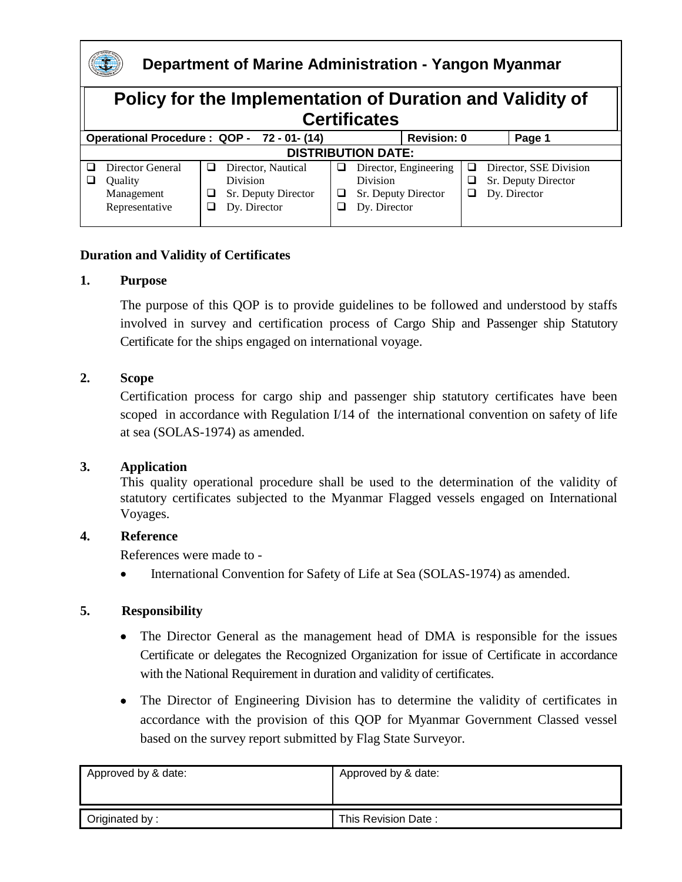

### **Department of Marine Administration - Yangon Myanmar**

#### **Policy for the Implementation of Duration and Validity of Certificates Operational Procedure : QOP - 72 - 01- (14) Revision: 0 Page 1 DISTRIBUTION DATE:**  Director General **Quality** Management Representative Director, Nautical Division **Sr.** Deputy Director Dy. Director Director, Engineering Division  $\Box$  Sr. Deputy Director Dy. Director D Director, SSE Division  $\Box$  Sr. Deputy Director Dy. Director

### **Duration and Validity of Certificates**

#### **1. Purpose**

The purpose of this QOP is to provide guidelines to be followed and understood by staffs involved in survey and certification process of Cargo Ship and Passenger ship Statutory Certificate for the ships engaged on international voyage.

#### **2. Scope**

Certification process for cargo ship and passenger ship statutory certificates have been scoped in accordance with Regulation I/14 of the international convention on safety of life at sea (SOLAS-1974) as amended.

#### **3. Application**

This quality operational procedure shall be used to the determination of the validity of statutory certificates subjected to the Myanmar Flagged vessels engaged on International Voyages.

#### **4. Reference**

References were made to -

• International Convention for Safety of Life at Sea (SOLAS-1974) as amended.

### **5. Responsibility**

- The Director General as the management head of DMA is responsible for the issues Certificate or delegates the Recognized Organization for issue of Certificate in accordance with the National Requirement in duration and validity of certificates.
- The Director of Engineering Division has to determine the validity of certificates in accordance with the provision of this QOP for Myanmar Government Classed vessel based on the survey report submitted by Flag State Surveyor.

| Approved by & date: | Approved by & date: |  |
|---------------------|---------------------|--|
|                     |                     |  |
| Originated by:      | This Revision Date: |  |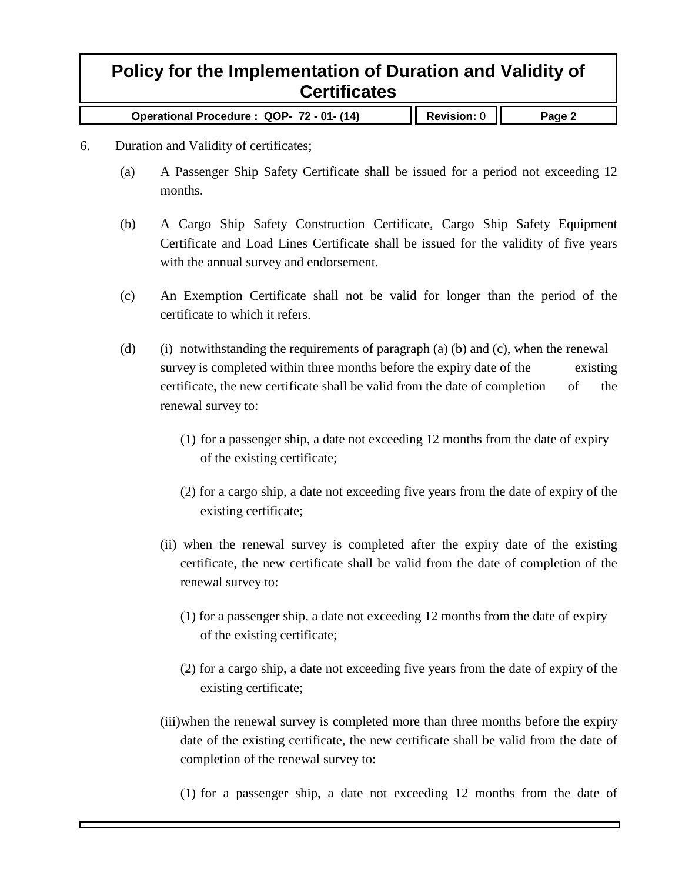**Operational Procedure : QOP- 72 - 01- (14) Revision:** 0 **Page 2**

- 6. Duration and Validity of certificates;
	- (a) A Passenger Ship Safety Certificate shall be issued for a period not exceeding 12 months.
	- (b) A Cargo Ship Safety Construction Certificate, Cargo Ship Safety Equipment Certificate and Load Lines Certificate shall be issued for the validity of five years with the annual survey and endorsement.
	- (c) An Exemption Certificate shall not be valid for longer than the period of the certificate to which it refers.
	- (d) (i) notwithstanding the requirements of paragraph (a) (b) and (c), when the renewal survey is completed within three months before the expiry date of the existing certificate, the new certificate shall be valid from the date of completion of the renewal survey to:
		- (1) for a passenger ship, a date not exceeding 12 months from the date of expiry of the existing certificate;
		- (2) for a cargo ship, a date not exceeding five years from the date of expiry of the existing certificate;
		- (ii) when the renewal survey is completed after the expiry date of the existing certificate, the new certificate shall be valid from the date of completion of the renewal survey to:
			- (1) for a passenger ship, a date not exceeding 12 months from the date of expiry of the existing certificate;
			- (2) for a cargo ship, a date not exceeding five years from the date of expiry of the existing certificate;
		- (iii)when the renewal survey is completed more than three months before the expiry date of the existing certificate, the new certificate shall be valid from the date of completion of the renewal survey to:
			- (1) for a passenger ship, a date not exceeding 12 months from the date of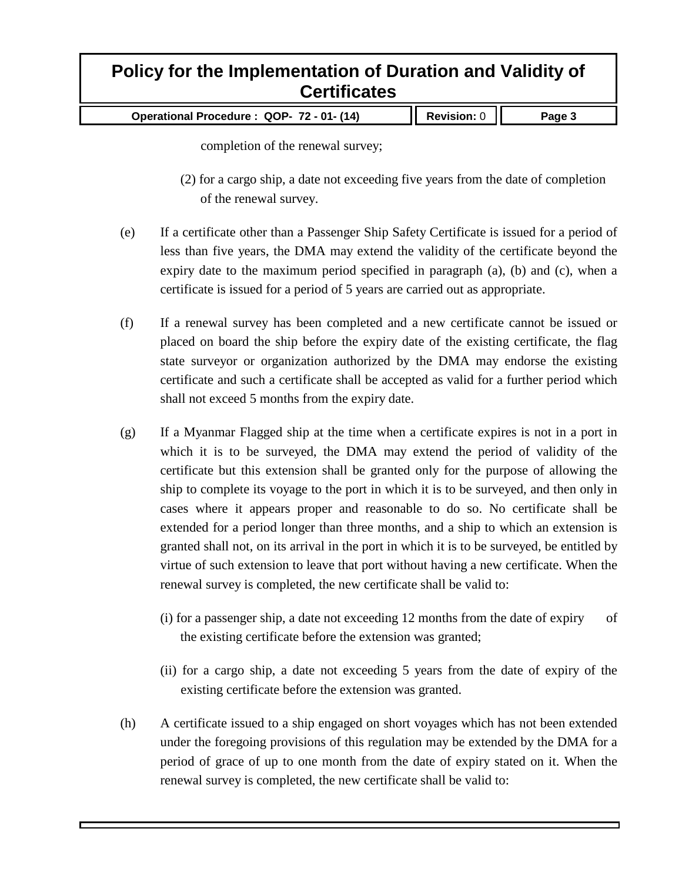| Operational Procedure: QOP- 72 - 01- (14) | $\parallel$ Revision: 0 $\parallel$ | Page 3 |
|-------------------------------------------|-------------------------------------|--------|
|-------------------------------------------|-------------------------------------|--------|

completion of the renewal survey;

- (2) for a cargo ship, a date not exceeding five years from the date of completion of the renewal survey.
- (e) If a certificate other than a Passenger Ship Safety Certificate is issued for a period of less than five years, the DMA may extend the validity of the certificate beyond the expiry date to the maximum period specified in paragraph  $(a)$ ,  $(b)$  and  $(c)$ , when a certificate is issued for a period of 5 years are carried out as appropriate.
- (f) If a renewal survey has been completed and a new certificate cannot be issued or placed on board the ship before the expiry date of the existing certificate, the flag state surveyor or organization authorized by the DMA may endorse the existing certificate and such a certificate shall be accepted as valid for a further period which shall not exceed 5 months from the expiry date.
- (g) If a Myanmar Flagged ship at the time when a certificate expires is not in a port in which it is to be surveyed, the DMA may extend the period of validity of the certificate but this extension shall be granted only for the purpose of allowing the ship to complete its voyage to the port in which it is to be surveyed, and then only in cases where it appears proper and reasonable to do so. No certificate shall be extended for a period longer than three months, and a ship to which an extension is granted shall not, on its arrival in the port in which it is to be surveyed, be entitled by virtue of such extension to leave that port without having a new certificate. When the renewal survey is completed, the new certificate shall be valid to:
	- (i) for a passenger ship, a date not exceeding 12 months from the date of expiry of the existing certificate before the extension was granted;
	- (ii) for a cargo ship, a date not exceeding 5 years from the date of expiry of the existing certificate before the extension was granted.
- (h) A certificate issued to a ship engaged on short voyages which has not been extended under the foregoing provisions of this regulation may be extended by the DMA for a period of grace of up to one month from the date of expiry stated on it. When the renewal survey is completed, the new certificate shall be valid to: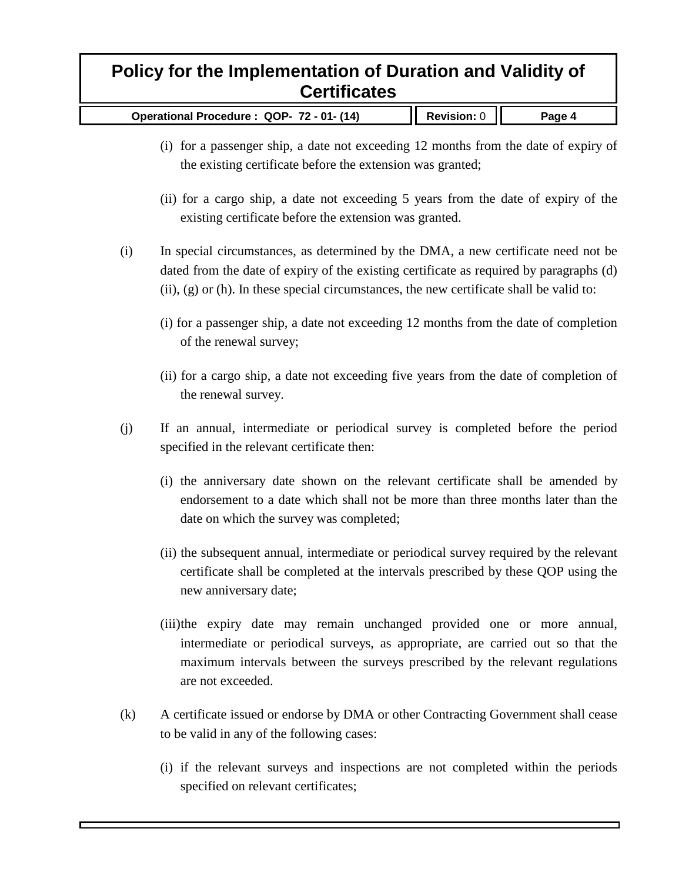| Operational Procedure: QOP- 72 - 01- (14) | $\parallel$ Revision: 0 $\parallel$ | Page 4 |
|-------------------------------------------|-------------------------------------|--------|
|-------------------------------------------|-------------------------------------|--------|

- (i) for a passenger ship, a date not exceeding 12 months from the date of expiry of the existing certificate before the extension was granted;
- (ii) for a cargo ship, a date not exceeding 5 years from the date of expiry of the existing certificate before the extension was granted.
- (i) In special circumstances, as determined by the DMA, a new certificate need not be dated from the date of expiry of the existing certificate as required by paragraphs (d)  $(ii)$ ,  $(g)$  or (h). In these special circumstances, the new certificate shall be valid to:
	- (i) for a passenger ship, a date not exceeding 12 months from the date of completion of the renewal survey;
	- (ii) for a cargo ship, a date not exceeding five years from the date of completion of the renewal survey.
- (j) If an annual, intermediate or periodical survey is completed before the period specified in the relevant certificate then:
	- (i) the anniversary date shown on the relevant certificate shall be amended by endorsement to a date which shall not be more than three months later than the date on which the survey was completed;
	- (ii) the subsequent annual, intermediate or periodical survey required by the relevant certificate shall be completed at the intervals prescribed by these QOP using the new anniversary date;
	- (iii)the expiry date may remain unchanged provided one or more annual, intermediate or periodical surveys, as appropriate, are carried out so that the maximum intervals between the surveys prescribed by the relevant regulations are not exceeded.
- (k) A certificate issued or endorse by DMA or other Contracting Government shall cease to be valid in any of the following cases:
	- (i) if the relevant surveys and inspections are not completed within the periods specified on relevant certificates;